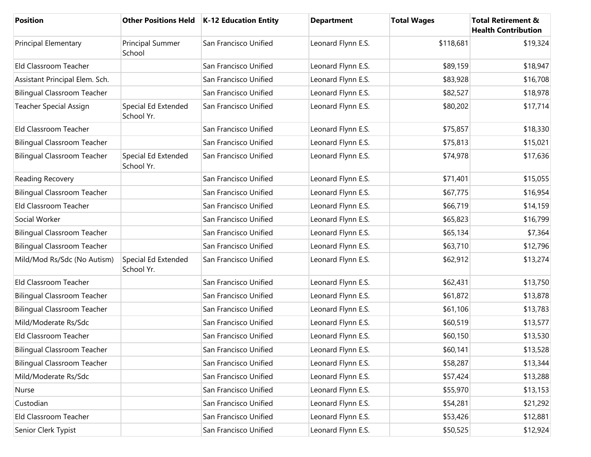| <b>Position</b>                    |                                   | Other Positions Held   K-12 Education Entity | <b>Department</b>  | <b>Total Wages</b> | <b>Total Retirement &amp;</b><br><b>Health Contribution</b> |
|------------------------------------|-----------------------------------|----------------------------------------------|--------------------|--------------------|-------------------------------------------------------------|
| Principal Elementary               | Principal Summer<br>School        | San Francisco Unified                        | Leonard Flynn E.S. | \$118,681          | \$19,324                                                    |
| Eld Classroom Teacher              |                                   | San Francisco Unified                        | Leonard Flynn E.S. | \$89,159           | \$18,947                                                    |
| Assistant Principal Elem. Sch.     |                                   | San Francisco Unified                        | Leonard Flynn E.S. | \$83,928           | \$16,708                                                    |
| <b>Bilingual Classroom Teacher</b> |                                   | San Francisco Unified                        | Leonard Flynn E.S. | \$82,527           | \$18,978                                                    |
| Teacher Special Assign             | Special Ed Extended<br>School Yr. | San Francisco Unified                        | Leonard Flynn E.S. | \$80,202           | \$17,714                                                    |
| Eld Classroom Teacher              |                                   | San Francisco Unified                        | Leonard Flynn E.S. | \$75,857           | \$18,330                                                    |
| <b>Bilingual Classroom Teacher</b> |                                   | San Francisco Unified                        | Leonard Flynn E.S. | \$75,813           | \$15,021                                                    |
| <b>Bilingual Classroom Teacher</b> | Special Ed Extended<br>School Yr. | San Francisco Unified                        | Leonard Flynn E.S. | \$74,978           | \$17,636                                                    |
| Reading Recovery                   |                                   | San Francisco Unified                        | Leonard Flynn E.S. | \$71,401           | \$15,055                                                    |
| <b>Bilingual Classroom Teacher</b> |                                   | San Francisco Unified                        | Leonard Flynn E.S. | \$67,775           | \$16,954                                                    |
| Eld Classroom Teacher              |                                   | San Francisco Unified                        | Leonard Flynn E.S. | \$66,719           | \$14,159                                                    |
| Social Worker                      |                                   | San Francisco Unified                        | Leonard Flynn E.S. | \$65,823           | \$16,799                                                    |
| <b>Bilingual Classroom Teacher</b> |                                   | San Francisco Unified                        | Leonard Flynn E.S. | \$65,134           | \$7,364                                                     |
| <b>Bilingual Classroom Teacher</b> |                                   | San Francisco Unified                        | Leonard Flynn E.S. | \$63,710           | \$12,796                                                    |
| Mild/Mod Rs/Sdc (No Autism)        | Special Ed Extended<br>School Yr. | San Francisco Unified                        | Leonard Flynn E.S. | \$62,912           | \$13,274                                                    |
| Eld Classroom Teacher              |                                   | San Francisco Unified                        | Leonard Flynn E.S. | \$62,431           | \$13,750                                                    |
| <b>Bilingual Classroom Teacher</b> |                                   | San Francisco Unified                        | Leonard Flynn E.S. | \$61,872           | \$13,878                                                    |
| <b>Bilingual Classroom Teacher</b> |                                   | San Francisco Unified                        | Leonard Flynn E.S. | \$61,106           | \$13,783                                                    |
| Mild/Moderate Rs/Sdc               |                                   | San Francisco Unified                        | Leonard Flynn E.S. | \$60,519           | \$13,577                                                    |
| Eld Classroom Teacher              |                                   | San Francisco Unified                        | Leonard Flynn E.S. | \$60,150           | \$13,530                                                    |
| Bilingual Classroom Teacher        |                                   | San Francisco Unified                        | Leonard Flynn E.S. | \$60,141           | \$13,528                                                    |
| <b>Bilingual Classroom Teacher</b> |                                   | San Francisco Unified                        | Leonard Flynn E.S. | \$58,287           | \$13,344                                                    |
| Mild/Moderate Rs/Sdc               |                                   | San Francisco Unified                        | Leonard Flynn E.S. | \$57,424           | \$13,288                                                    |
| Nurse                              |                                   | San Francisco Unified                        | Leonard Flynn E.S. | \$55,970           | \$13,153                                                    |
| Custodian                          |                                   | San Francisco Unified                        | Leonard Flynn E.S. | \$54,281           | \$21,292                                                    |
| Eld Classroom Teacher              |                                   | San Francisco Unified                        | Leonard Flynn E.S. | \$53,426           | \$12,881                                                    |
| Senior Clerk Typist                |                                   | San Francisco Unified                        | Leonard Flynn E.S. | \$50,525           | \$12,924                                                    |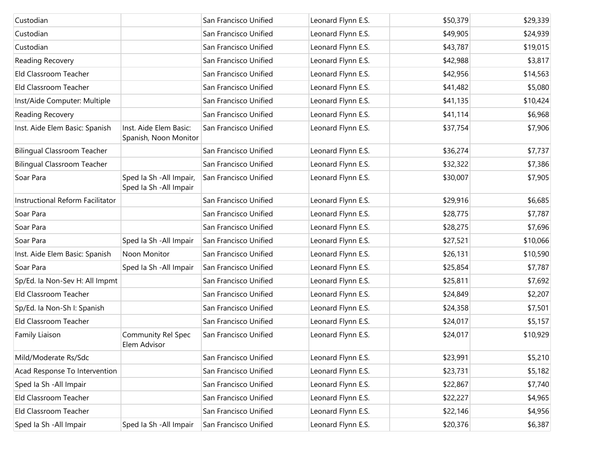| Custodian                          |                                                     | San Francisco Unified | Leonard Flynn E.S. | \$50,379 | \$29,339 |
|------------------------------------|-----------------------------------------------------|-----------------------|--------------------|----------|----------|
| Custodian                          |                                                     | San Francisco Unified | Leonard Flynn E.S. | \$49,905 | \$24,939 |
| Custodian                          |                                                     | San Francisco Unified | Leonard Flynn E.S. | \$43,787 | \$19,015 |
| Reading Recovery                   |                                                     | San Francisco Unified | Leonard Flynn E.S. | \$42,988 | \$3,817  |
| Eld Classroom Teacher              |                                                     | San Francisco Unified | Leonard Flynn E.S. | \$42,956 | \$14,563 |
| Eld Classroom Teacher              |                                                     | San Francisco Unified | Leonard Flynn E.S. | \$41,482 | \$5,080  |
| Inst/Aide Computer: Multiple       |                                                     | San Francisco Unified | Leonard Flynn E.S. | \$41,135 | \$10,424 |
| Reading Recovery                   |                                                     | San Francisco Unified | Leonard Flynn E.S. | \$41,114 | \$6,968  |
| Inst. Aide Elem Basic: Spanish     | Inst. Aide Elem Basic:<br>Spanish, Noon Monitor     | San Francisco Unified | Leonard Flynn E.S. | \$37,754 | \$7,906  |
| <b>Bilingual Classroom Teacher</b> |                                                     | San Francisco Unified | Leonard Flynn E.S. | \$36,274 | \$7,737  |
| <b>Bilingual Classroom Teacher</b> |                                                     | San Francisco Unified | Leonard Flynn E.S. | \$32,322 | \$7,386  |
| Soar Para                          | Sped Ia Sh - All Impair,<br>Sped Ia Sh - All Impair | San Francisco Unified | Leonard Flynn E.S. | \$30,007 | \$7,905  |
| Instructional Reform Facilitator   |                                                     | San Francisco Unified | Leonard Flynn E.S. | \$29,916 | \$6,685  |
| Soar Para                          |                                                     | San Francisco Unified | Leonard Flynn E.S. | \$28,775 | \$7,787  |
| Soar Para                          |                                                     | San Francisco Unified | Leonard Flynn E.S. | \$28,275 | \$7,696  |
| Soar Para                          | Sped Ia Sh - All Impair                             | San Francisco Unified | Leonard Flynn E.S. | \$27,521 | \$10,066 |
| Inst. Aide Elem Basic: Spanish     | Noon Monitor                                        | San Francisco Unified | Leonard Flynn E.S. | \$26,131 | \$10,590 |
| Soar Para                          | Sped Ia Sh - All Impair                             | San Francisco Unified | Leonard Flynn E.S. | \$25,854 | \$7,787  |
| Sp/Ed. la Non-Sev H: All Impmt     |                                                     | San Francisco Unified | Leonard Flynn E.S. | \$25,811 | \$7,692  |
| Eld Classroom Teacher              |                                                     | San Francisco Unified | Leonard Flynn E.S. | \$24,849 | \$2,207  |
| Sp/Ed. la Non-Sh I: Spanish        |                                                     | San Francisco Unified | Leonard Flynn E.S. | \$24,358 | \$7,501  |
| Eld Classroom Teacher              |                                                     | San Francisco Unified | Leonard Flynn E.S. | \$24,017 | \$5,157  |
| Family Liaison                     | Community Rel Spec<br>Elem Advisor                  | San Francisco Unified | Leonard Flynn E.S. | \$24,017 | \$10,929 |
| Mild/Moderate Rs/Sdc               |                                                     | San Francisco Unified | Leonard Flynn E.S. | \$23,991 | \$5,210  |
| Acad Response To Intervention      |                                                     | San Francisco Unified | Leonard Flynn E.S. | \$23,731 | \$5,182  |
| Sped Ia Sh - All Impair            |                                                     | San Francisco Unified | Leonard Flynn E.S. | \$22,867 | \$7,740  |
| Eld Classroom Teacher              |                                                     | San Francisco Unified | Leonard Flynn E.S. | \$22,227 | \$4,965  |
| Eld Classroom Teacher              |                                                     | San Francisco Unified | Leonard Flynn E.S. | \$22,146 | \$4,956  |
| Sped Ia Sh - All Impair            | Sped Ia Sh - All Impair                             | San Francisco Unified | Leonard Flynn E.S. | \$20,376 | \$6,387  |